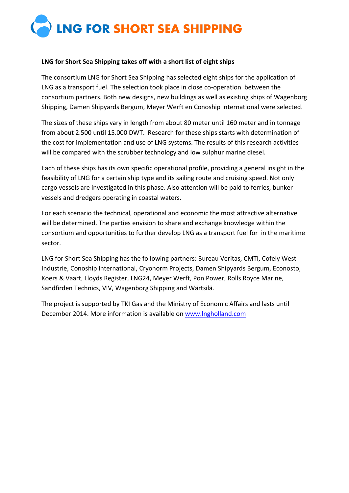## **LNG FOR SHORT SEA SHIPPING**

## **LNG for Short Sea Shipping takes off with a short list of eight ships**

The consortium LNG for Short Sea Shipping has selected eight ships for the application of LNG as a transport fuel. The selection took place in close co-operation between the consortium partners. Both new designs, new buildings as well as existing ships of Wagenborg Shipping, Damen Shipyards Bergum, Meyer Werft en Conoship International were selected.

The sizes of these ships vary in length from about 80 meter until 160 meter and in tonnage from about 2.500 until 15.000 DWT. Research for these ships starts with determination of the cost for implementation and use of LNG systems. The results of this research activities will be compared with the scrubber technology and low sulphur marine diesel.

Each of these ships has its own specific operational profile, providing a general insight in the feasibility of LNG for a certain ship type and its sailing route and cruising speed. Not only cargo vessels are investigated in this phase. Also attention will be paid to ferries, bunker vessels and dredgers operating in coastal waters.

For each scenario the technical, operational and economic the most attractive alternative will be determined. The parties envision to share and exchange knowledge within the consortium and opportunities to further develop LNG as a transport fuel for in the maritime sector.

LNG for Short Sea Shipping has the following partners: Bureau Veritas, CMTI, Cofely West Industrie, Conoship International, Cryonorm Projects, Damen Shipyards Bergum, Econosto, Koers & Vaart, Lloyds Register, LNG24, Meyer Werft, Pon Power, Rolls Royce Marine, Sandfirden Technics, VIV, Wagenborg Shipping and Wärtsilä.

The project is supported by TKI Gas and the Ministry of Economic Affairs and lasts until December 2014. More information is available o[n www.lngholland.com](http://www.lngholland.com/)